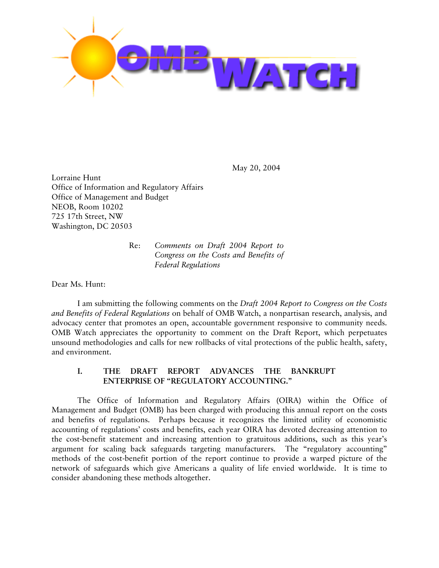

May 20, 2004

Lorraine Hunt Office of Information and Regulatory Affairs Office of Management and Budget NEOB, Room 10202 725 17th Street, NW Washington, DC 20503

> Re: *Comments on Draft 2004 Report to Congress on the Costs and Benefits of Federal Regulations*

Dear Ms. Hunt:

I am submitting the following comments on the *Draft 2004 Report to Congress on the Costs and Benefits of Federal Regulations* on behalf of OMB Watch, a nonpartisan research, analysis, and advocacy center that promotes an open, accountable government responsive to community needs. OMB Watch appreciates the opportunity to comment on the Draft Report, which perpetuates unsound methodologies and calls for new rollbacks of vital protections of the public health, safety, and environment.

# **I. THE DRAFT REPORT ADVANCES THE BANKRUPT ENTERPRISE OF "REGULATORY ACCOUNTING."**

The Office of Information and Regulatory Affairs (OIRA) within the Office of Management and Budget (OMB) has been charged with producing this annual report on the costs and benefits of regulations. Perhaps because it recognizes the limited utility of economistic accounting of regulations' costs and benefits, each year OIRA has devoted decreasing attention to the cost-benefit statement and increasing attention to gratuitous additions, such as this year's argument for scaling back safeguards targeting manufacturers. The "regulatory accounting" methods of the cost-benefit portion of the report continue to provide a warped picture of the network of safeguards which give Americans a quality of life envied worldwide. It is time to consider abandoning these methods altogether.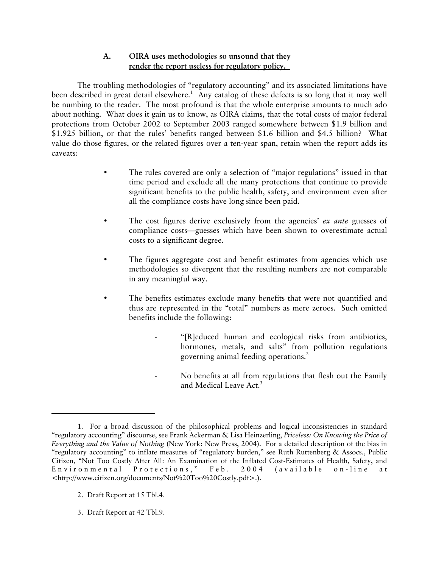## **A. OIRA uses methodologies so unsound that they render the report useless for regulatory policy.**

The troubling methodologies of "regulatory accounting" and its associated limitations have been described in great detail elsewhere.<sup>1</sup> Any catalog of these defects is so long that it may well be numbing to the reader. The most profound is that the whole enterprise amounts to much ado about nothing. What does it gain us to know, as OIRA claims, that the total costs of major federal protections from October 2002 to September 2003 ranged somewhere between \$1.9 billion and \$1.925 billion, or that the rules' benefits ranged between \$1.6 billion and \$4.5 billion? What value do those figures, or the related figures over a ten-year span, retain when the report adds its caveats:

- The rules covered are only a selection of "major regulations" issued in that time period and exclude all the many protections that continue to provide significant benefits to the public health, safety, and environment even after all the compliance costs have long since been paid.
- The cost figures derive exclusively from the agencies' *ex ante* guesses of compliance costs—guesses which have been shown to overestimate actual costs to a significant degree.
- The figures aggregate cost and benefit estimates from agencies which use methodologies so divergent that the resulting numbers are not comparable in any meaningful way.
- The benefits estimates exclude many benefits that were not quantified and thus are represented in the "total" numbers as mere zeroes. Such omitted benefits include the following:
	- "[R]educed human and ecological risks from antibiotics, hormones, metals, and salts" from pollution regulations governing animal feeding operations.<sup>2</sup>
	- No benefits at all from regulations that flesh out the Family and Medical Leave Act.<sup>3</sup>

- 2. Draft Report at 15 Tbl.4.
- 3. Draft Report at 42 Tbl.9.

<sup>1.</sup> For a broad discussion of the philosophical problems and logical inconsistencies in standard "regulatory accounting" discourse, see Frank Ackerman & Lisa Heinzerling, *Priceless: On Knowing the Price of Everything and the Value of Nothing* (New York: New Press, 2004). For a detailed description of the bias in "regulatory accounting" to inflate measures of "regulatory burden," see Ruth Ruttenberg & Assocs., Public Citizen, "Not Too Costly After All: An Examination of the Inflated Cost-Estimates of Health, Safety, and Environmental Protections," Feb. 2004 (available on-line at <http://www.citizen.org/documents/Not%20Too%20Costly.pdf>.).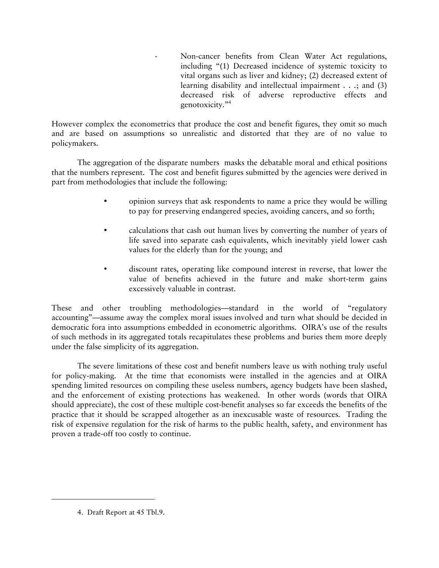Non-cancer benefits from Clean Water Act regulations, including "(1) Decreased incidence of systemic toxicity to vital organs such as liver and kidney; (2) decreased extent of learning disability and intellectual impairment . . .; and (3) decreased risk of adverse reproductive effects and genotoxicity."4

However complex the econometrics that produce the cost and benefit figures, they omit so much and are based on assumptions so unrealistic and distorted that they are of no value to policymakers.

The aggregation of the disparate numbers masks the debatable moral and ethical positions that the numbers represent. The cost and benefit figures submitted by the agencies were derived in part from methodologies that include the following:

- opinion surveys that ask respondents to name a price they would be willing to pay for preserving endangered species, avoiding cancers, and so forth;
- calculations that cash out human lives by converting the number of years of life saved into separate cash equivalents, which inevitably yield lower cash values for the elderly than for the young; and
- discount rates, operating like compound interest in reverse, that lower the value of benefits achieved in the future and make short-term gains excessively valuable in contrast.

These and other troubling methodologies—standard in the world of "regulatory accounting"—assume away the complex moral issues involved and turn what should be decided in democratic fora into assumptions embedded in econometric algorithms. OIRA's use of the results of such methods in its aggregated totals recapitulates these problems and buries them more deeply under the false simplicity of its aggregation.

The severe limitations of these cost and benefit numbers leave us with nothing truly useful for policy-making. At the time that economists were installed in the agencies and at OIRA spending limited resources on compiling these useless numbers, agency budgets have been slashed, and the enforcement of existing protections has weakened. In other words (words that OIRA should appreciate), the cost of these multiple cost-benefit analyses so far exceeds the benefits of the practice that it should be scrapped altogether as an inexcusable waste of resources. Trading the risk of expensive regulation for the risk of harms to the public health, safety, and environment has proven a trade-off too costly to continue.

<sup>4.</sup> Draft Report at 45 Tbl.9.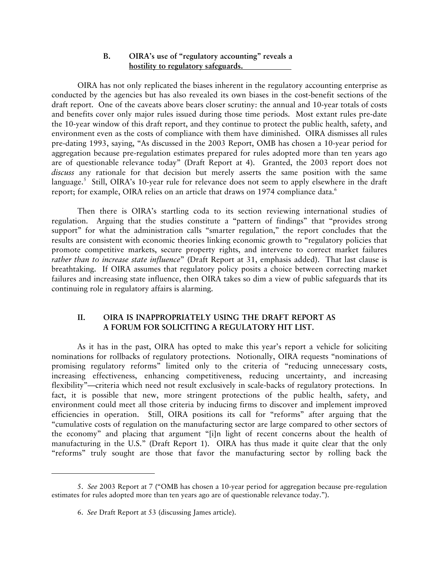#### **B. OIRA's use of "regulatory accounting" reveals a hostility to regulatory safeguards.**

OIRA has not only replicated the biases inherent in the regulatory accounting enterprise as conducted by the agencies but has also revealed its own biases in the cost-benefit sections of the draft report. One of the caveats above bears closer scrutiny: the annual and 10-year totals of costs and benefits cover only major rules issued during those time periods. Most extant rules pre-date the 10-year window of this draft report, and they continue to protect the public health, safety, and environment even as the costs of compliance with them have diminished. OIRA dismisses all rules pre-dating 1993, saying, "As discussed in the 2003 Report, OMB has chosen a 10-year period for aggregation because pre-regulation estimates prepared for rules adopted more than ten years ago are of questionable relevance today" (Draft Report at 4). Granted, the 2003 report does not *discuss* any rationale for that decision but merely asserts the same position with the same language.<sup>5</sup> Still, OIRA's 10-year rule for relevance does not seem to apply elsewhere in the draft report; for example, OIRA relies on an article that draws on 1974 compliance data.<sup>6</sup>

Then there is OIRA's startling coda to its section reviewing international studies of regulation. Arguing that the studies constitute a "pattern of findings" that "provides strong support" for what the administration calls "smarter regulation," the report concludes that the results are consistent with economic theories linking economic growth to "regulatory policies that promote competitive markets, secure property rights, and intervene to correct market failures *rather than to increase state influence*" (Draft Report at 31, emphasis added). That last clause is breathtaking. If OIRA assumes that regulatory policy posits a choice between correcting market failures and increasing state influence, then OIRA takes so dim a view of public safeguards that its continuing role in regulatory affairs is alarming.

## **II. OIRA IS INAPPROPRIATELY USING THE DRAFT REPORT AS A FORUM FOR SOLICITING A REGULATORY HIT LIST.**

As it has in the past, OIRA has opted to make this year's report a vehicle for soliciting nominations for rollbacks of regulatory protections. Notionally, OIRA requests "nominations of promising regulatory reforms" limited only to the criteria of "reducing unnecessary costs, increasing effectiveness, enhancing competitiveness, reducing uncertainty, and increasing flexibility"—criteria which need not result exclusively in scale-backs of regulatory protections. In fact, it is possible that new, more stringent protections of the public health, safety, and environment could meet all those criteria by inducing firms to discover and implement improved efficiencies in operation. Still, OIRA positions its call for "reforms" after arguing that the "cumulative costs of regulation on the manufacturing sector are large compared to other sectors of the economy" and placing that argument "[i]n light of recent concerns about the health of manufacturing in the U.S." (Draft Report 1). OIRA has thus made it quite clear that the only "reforms" truly sought are those that favor the manufacturing sector by rolling back the

<sup>5.</sup> *See* 2003 Report at 7 ("OMB has chosen a 10-year period for aggregation because pre-regulation estimates for rules adopted more than ten years ago are of questionable relevance today.").

<sup>6.</sup> *See* Draft Report at 53 (discussing James article).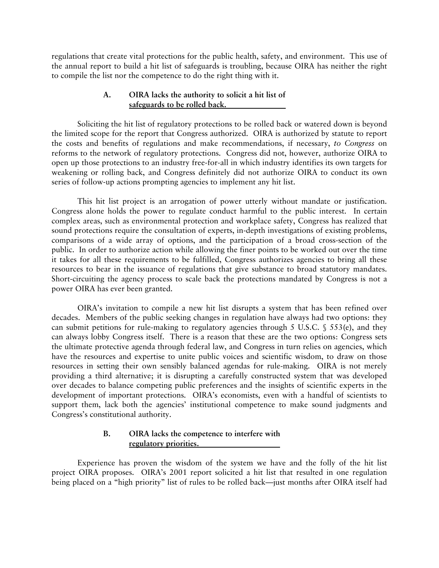regulations that create vital protections for the public health, safety, and environment. This use of the annual report to build a hit list of safeguards is troubling, because OIRA has neither the right to compile the list nor the competence to do the right thing with it.

#### **A. OIRA lacks the authority to solicit a hit list of safeguards to be rolled back.**

Soliciting the hit list of regulatory protections to be rolled back or watered down is beyond the limited scope for the report that Congress authorized. OIRA is authorized by statute to report the costs and benefits of regulations and make recommendations, if necessary, *to Congress* on reforms to the network of regulatory protections. Congress did not, however, authorize OIRA to open up those protections to an industry free-for-all in which industry identifies its own targets for weakening or rolling back, and Congress definitely did not authorize OIRA to conduct its own series of follow-up actions prompting agencies to implement any hit list.

This hit list project is an arrogation of power utterly without mandate or justification. Congress alone holds the power to regulate conduct harmful to the public interest. In certain complex areas, such as environmental protection and workplace safety, Congress has realized that sound protections require the consultation of experts, in-depth investigations of existing problems, comparisons of a wide array of options, and the participation of a broad cross-section of the public. In order to authorize action while allowing the finer points to be worked out over the time it takes for all these requirements to be fulfilled, Congress authorizes agencies to bring all these resources to bear in the issuance of regulations that give substance to broad statutory mandates. Short-circuiting the agency process to scale back the protections mandated by Congress is not a power OIRA has ever been granted.

OIRA's invitation to compile a new hit list disrupts a system that has been refined over decades. Members of the public seeking changes in regulation have always had two options: they can submit petitions for rule-making to regulatory agencies through 5 U.S.C. § 553(e), and they can always lobby Congress itself. There is a reason that these are the two options: Congress sets the ultimate protective agenda through federal law, and Congress in turn relies on agencies, which have the resources and expertise to unite public voices and scientific wisdom, to draw on those resources in setting their own sensibly balanced agendas for rule-making. OIRA is not merely providing a third alternative; it is disrupting a carefully constructed system that was developed over decades to balance competing public preferences and the insights of scientific experts in the development of important protections. OIRA's economists, even with a handful of scientists to support them, lack both the agencies' institutional competence to make sound judgments and Congress's constitutional authority.

## **B. OIRA lacks the competence to interfere with regulatory priorities.**

Experience has proven the wisdom of the system we have and the folly of the hit list project OIRA proposes. OIRA's 2001 report solicited a hit list that resulted in one regulation being placed on a "high priority" list of rules to be rolled back—just months after OIRA itself had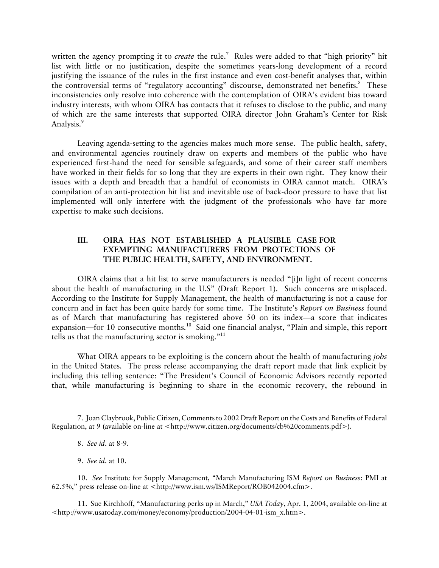written the agency prompting it to *create* the rule.7 Rules were added to that "high priority" hit list with little or no justification, despite the sometimes years-long development of a record justifying the issuance of the rules in the first instance and even cost-benefit analyses that, within the controversial terms of "regulatory accounting" discourse, demonstrated net benefits.<sup>8</sup> These inconsistencies only resolve into coherence with the contemplation of OIRA's evident bias toward industry interests, with whom OIRA has contacts that it refuses to disclose to the public, and many of which are the same interests that supported OIRA director John Graham's Center for Risk Analysis.<sup>9</sup>

Leaving agenda-setting to the agencies makes much more sense. The public health, safety, and environmental agencies routinely draw on experts and members of the public who have experienced first-hand the need for sensible safeguards, and some of their career staff members have worked in their fields for so long that they are experts in their own right. They know their issues with a depth and breadth that a handful of economists in OIRA cannot match. OIRA's compilation of an anti-protection hit list and inevitable use of back-door pressure to have that list implemented will only interfere with the judgment of the professionals who have far more expertise to make such decisions.

## **III. OIRA HAS NOT ESTABLISHED A PLAUSIBLE CASE FOR EXEMPTING MANUFACTURERS FROM PROTECTIONS OF THE PUBLIC HEALTH, SAFETY, AND ENVIRONMENT.**

OIRA claims that a hit list to serve manufacturers is needed "[i]n light of recent concerns about the health of manufacturing in the U.S" (Draft Report 1). Such concerns are misplaced. According to the Institute for Supply Management, the health of manufacturing is not a cause for concern and in fact has been quite hardy for some time. The Institute's *Report on Business* found as of March that manufacturing has registered above 50 on its index—a score that indicates expansion—for 10 consecutive months.<sup>10</sup> Said one financial analyst, "Plain and simple, this report tells us that the manufacturing sector is smoking."<sup>11</sup>

What OIRA appears to be exploiting is the concern about the health of manufacturing *jobs* in the United States. The press release accompanying the draft report made that link explicit by including this telling sentence: "The President's Council of Economic Advisors recently reported that, while manufacturing is beginning to share in the economic recovery, the rebound in

<sup>7.</sup> Joan Claybrook, Public Citizen, Comments to 2002 Draft Report on the Costs and Benefits of Federal Regulation, at 9 (available on-line at <http://www.citizen.org/documents/cb%20comments.pdf>).

<sup>8.</sup> *See id*. at 8-9.

<sup>9.</sup> *See id*. at 10.

<sup>10.</sup> *See* Institute for Supply Management, "March Manufacturing ISM *Report on Business*: PMI at 62.5%," press release on-line at <http://www.ism.ws/ISMReport/ROB042004.cfm>.

<sup>11.</sup> Sue Kirchhoff, "Manufacturing perks up in March," *USA Today*, Apr. 1, 2004, available on-line at <http://www.usatoday.com/money/economy/production/2004-04-01-ism\_x.htm>.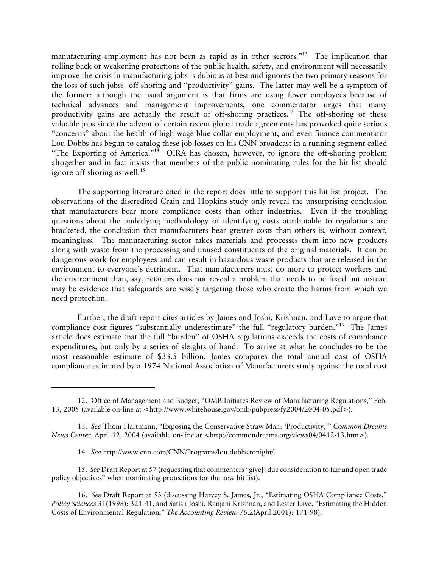manufacturing employment has not been as rapid as in other sectors."<sup>12</sup> The implication that rolling back or weakening protections of the public health, safety, and environment will necessarily improve the crisis in manufacturing jobs is dubious at best and ignores the two primary reasons for the loss of such jobs: off-shoring and "productivity" gains. The latter may well be a symptom of the former: although the usual argument is that firms are using fewer employees because of technical advances and management improvements, one commentator urges that many productivity gains are actually the result of off-shoring practices.<sup>13</sup> The off-shoring of these valuable jobs since the advent of certain recent global trade agreements has provoked quite serious "concerns" about the health of high-wage blue-collar employment, and even finance commentator Lou Dobbs has begun to catalog these job losses on his CNN broadcast in a running segment called "The Exporting of America."14 OIRA has chosen, however, to ignore the off-shoring problem altogether and in fact insists that members of the public nominating rules for the hit list should ignore off-shoring as well.<sup>15</sup>

The supporting literature cited in the report does little to support this hit list project. The observations of the discredited Crain and Hopkins study only reveal the unsurprising conclusion that manufacturers bear more compliance costs than other industries. Even if the troubling questions about the underlying methodology of identifying costs attributable to regulations are bracketed, the conclusion that manufacturers bear greater costs than others is, without context, meaningless. The manufacturing sector takes materials and processes them into new products along with waste from the processing and unused constituents of the original materials. It can be dangerous work for employees and can result in hazardous waste products that are released in the environment to everyone's detriment. That manufacturers must do more to protect workers and the environment than, say, retailers does not reveal a problem that needs to be fixed but instead may be evidence that safeguards are wisely targeting those who create the harms from which we need protection.

Further, the draft report cites articles by James and Joshi, Krishnan, and Lave to argue that compliance cost figures "substantially underestimate" the full "regulatory burden."<sup>16</sup> The James article does estimate that the full "burden" of OSHA regulations exceeds the costs of compliance expenditures, but only by a series of sleights of hand. To arrive at what he concludes to be the most reasonable estimate of \$33.5 billion, James compares the total annual cost of OSHA compliance estimated by a 1974 National Association of Manufacturers study against the total cost

15. *See* Draft Report at 57 (requesting that commenters "give[] due consideration to fair and open trade policy objectives" when nominating protections for the new hit list).

<sup>12.</sup> Office of Management and Budget, "OMB Initiates Review of Manufacturing Regulations," Feb. 13, 2005 (available on-line at <http://www.whitehouse.gov/omb/pubpress/fy2004/2004-05.pdf>).

<sup>13.</sup> *See* Thom Hartmann, "Exposing the Conservative Straw Man: 'Productivity,'" *Common Dreams News Center*, April 12, 2004 (available on-line at <http://commondreams.org/views04/0412-13.htm>).

<sup>14.</sup> *See* http://www.cnn.com/CNN/Programs/lou.dobbs.tonight/.

<sup>16.</sup> *See* Draft Report at 53 (discussing Harvey S. James, Jr., "Estimating OSHA Compliance Costs," *Policy Sciences* 31(1998): 321-41, and Satish Joshi, Ranjani Krishnan, and Lester Lave, "Estimating the Hidden Costs of Environmental Regulation," *The Accounting Review* 76.2(April 2001): 171-98).